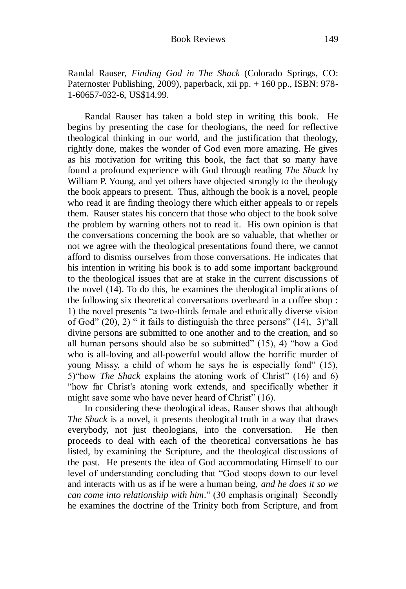Randal Rauser, *Finding God in The Shack* (Colorado Springs, CO: Paternoster Publishing, 2009), paperback, xii pp. + 160 pp., ISBN: 978- 1-60657-032-6, US\$14.99.

Randal Rauser has taken a bold step in writing this book. He begins by presenting the case for theologians, the need for reflective theological thinking in our world, and the justification that theology, rightly done, makes the wonder of God even more amazing. He gives as his motivation for writing this book, the fact that so many have found a profound experience with God through reading *The Shack* by William P. Young, and yet others have objected strongly to the theology the book appears to present. Thus, although the book is a novel, people who read it are finding theology there which either appeals to or repels them. Rauser states his concern that those who object to the book solve the problem by warning others not to read it. His own opinion is that the conversations concerning the book are so valuable, that whether or not we agree with the theological presentations found there, we cannot afford to dismiss ourselves from those conversations. He indicates that his intention in writing his book is to add some important background to the theological issues that are at stake in the current discussions of the novel (14). To do this, he examines the theological implications of the following six theoretical conversations overheard in a coffee shop : 1) the novel presents "a two-thirds female and ethnically diverse vision of God" (20), 2) " it fails to distinguish the three persons" (14), 3)"all divine persons are submitted to one another and to the creation, and so all human persons should also be so submitted" (15), 4) "how a God who is all-loving and all-powerful would allow the horrific murder of young Missy, a child of whom he says he is especially fond" (15), 5)"how *The Shack* explains the atoning work of Christ" (16) and 6) "how far Christ's atoning work extends, and specifically whether it might save some who have never heard of Christ" (16).

In considering these theological ideas, Rauser shows that although *The Shack* is a novel, it presents theological truth in a way that draws everybody, not just theologians, into the conversation. He then proceeds to deal with each of the theoretical conversations he has listed, by examining the Scripture, and the theological discussions of the past. He presents the idea of God accommodating Himself to our level of understanding concluding that "God stoops down to our level and interacts with us as if he were a human being, *and he does it so we can come into relationship with him*." (30 emphasis original) Secondly he examines the doctrine of the Trinity both from Scripture, and from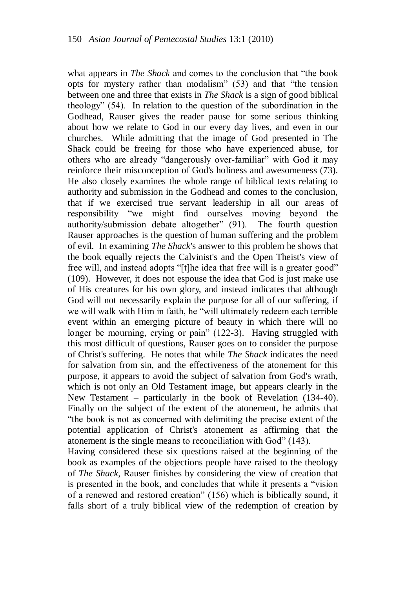what appears in *The Shack* and comes to the conclusion that "the book opts for mystery rather than modalism" (53) and that "the tension between one and three that exists in *The Shack* is a sign of good biblical theology" (54). In relation to the question of the subordination in the Godhead, Rauser gives the reader pause for some serious thinking about how we relate to God in our every day lives, and even in our churches. While admitting that the image of God presented in The Shack could be freeing for those who have experienced abuse, for others who are already "dangerously over-familiar" with God it may reinforce their misconception of God's holiness and awesomeness (73). He also closely examines the whole range of biblical texts relating to authority and submission in the Godhead and comes to the conclusion, that if we exercised true servant leadership in all our areas of responsibility "we might find ourselves moving beyond the authority/submission debate altogether" (91). The fourth question Rauser approaches is the question of human suffering and the problem of evil. In examining *The Shack*'s answer to this problem he shows that the book equally rejects the Calvinist's and the Open Theist's view of free will, and instead adopts "[t]he idea that free will is a greater good" (109). However, it does not espouse the idea that God is just make use of His creatures for his own glory, and instead indicates that although God will not necessarily explain the purpose for all of our suffering, if we will walk with Him in faith, he "will ultimately redeem each terrible event within an emerging picture of beauty in which there will no longer be mourning, crying or pain" (122-3). Having struggled with this most difficult of questions, Rauser goes on to consider the purpose of Christ's suffering. He notes that while *The Shack* indicates the need for salvation from sin, and the effectiveness of the atonement for this purpose, it appears to avoid the subject of salvation from God's wrath, which is not only an Old Testament image, but appears clearly in the New Testament – particularly in the book of Revelation (134-40). Finally on the subject of the extent of the atonement, he admits that "the book is not as concerned with delimiting the precise extent of the potential application of Christ's atonement as affirming that the atonement is the single means to reconciliation with God" (143).

Having considered these six questions raised at the beginning of the book as examples of the objections people have raised to the theology of *The Shack*, Rauser finishes by considering the view of creation that is presented in the book, and concludes that while it presents a "vision of a renewed and restored creation" (156) which is biblically sound, it falls short of a truly biblical view of the redemption of creation by